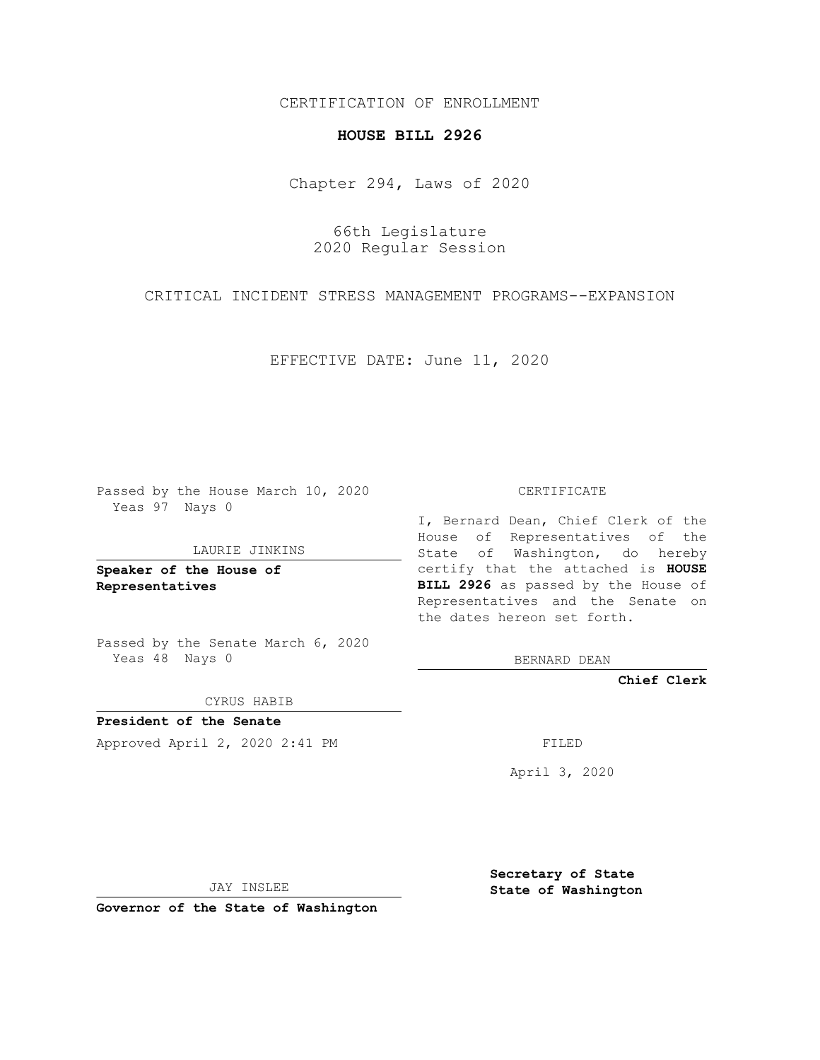CERTIFICATION OF ENROLLMENT

## **HOUSE BILL 2926**

Chapter 294, Laws of 2020

66th Legislature 2020 Regular Session

CRITICAL INCIDENT STRESS MANAGEMENT PROGRAMS--EXPANSION

EFFECTIVE DATE: June 11, 2020

Passed by the House March 10, 2020 Yeas 97 Nays 0

LAURIE JINKINS

**Speaker of the House of Representatives**

Passed by the Senate March 6, 2020 Yeas 48 Nays 0

CYRUS HABIB

**President of the Senate** Approved April 2, 2020 2:41 PM

CERTIFICATE

I, Bernard Dean, Chief Clerk of the House of Representatives of the State of Washington, do hereby certify that the attached is **HOUSE BILL 2926** as passed by the House of Representatives and the Senate on the dates hereon set forth.

BERNARD DEAN

**Chief Clerk**

April 3, 2020

JAY INSLEE

**Governor of the State of Washington**

**Secretary of State State of Washington**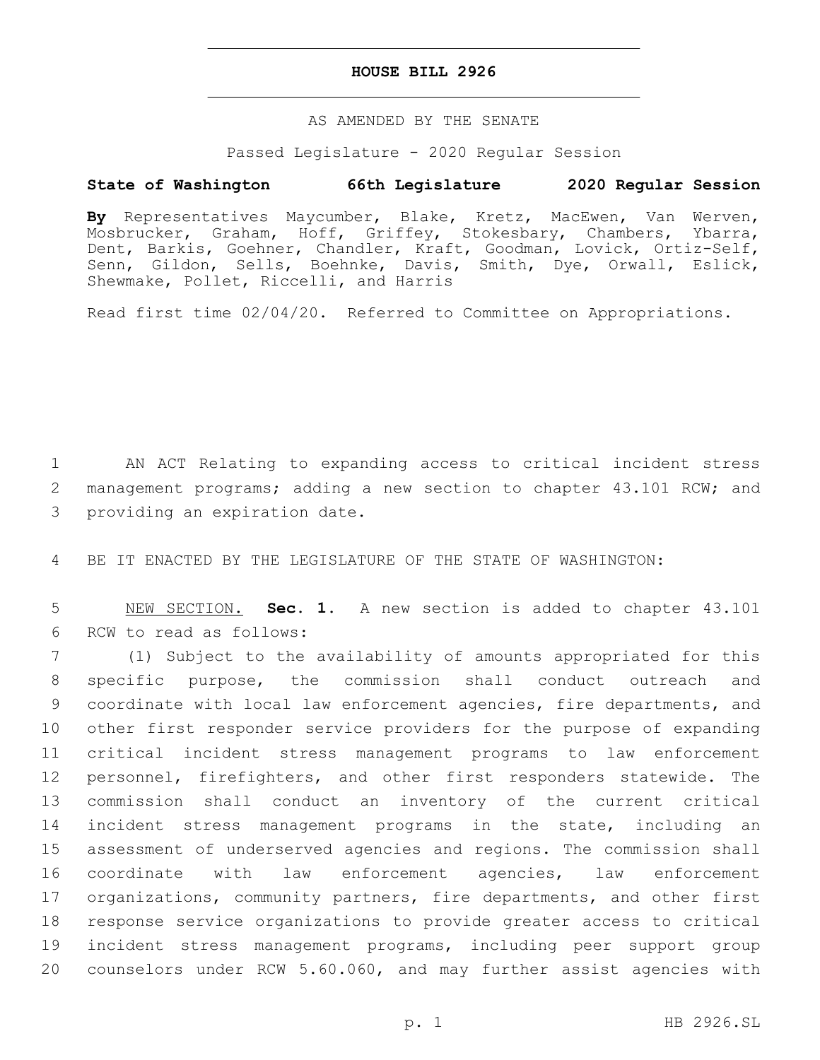## **HOUSE BILL 2926**

## AS AMENDED BY THE SENATE

Passed Legislature - 2020 Regular Session

## **State of Washington 66th Legislature 2020 Regular Session**

**By** Representatives Maycumber, Blake, Kretz, MacEwen, Van Werven, Mosbrucker, Graham, Hoff, Griffey, Stokesbary, Chambers, Ybarra, Dent, Barkis, Goehner, Chandler, Kraft, Goodman, Lovick, Ortiz-Self, Senn, Gildon, Sells, Boehnke, Davis, Smith, Dye, Orwall, Eslick, Shewmake, Pollet, Riccelli, and Harris

Read first time 02/04/20. Referred to Committee on Appropriations.

1 AN ACT Relating to expanding access to critical incident stress 2 management programs; adding a new section to chapter 43.101 RCW; and 3 providing an expiration date.

4 BE IT ENACTED BY THE LEGISLATURE OF THE STATE OF WASHINGTON:

5 NEW SECTION. **Sec. 1.** A new section is added to chapter 43.101 6 RCW to read as follows:

 (1) Subject to the availability of amounts appropriated for this specific purpose, the commission shall conduct outreach and coordinate with local law enforcement agencies, fire departments, and other first responder service providers for the purpose of expanding critical incident stress management programs to law enforcement personnel, firefighters, and other first responders statewide. The commission shall conduct an inventory of the current critical incident stress management programs in the state, including an assessment of underserved agencies and regions. The commission shall coordinate with law enforcement agencies, law enforcement organizations, community partners, fire departments, and other first response service organizations to provide greater access to critical incident stress management programs, including peer support group counselors under RCW 5.60.060, and may further assist agencies with